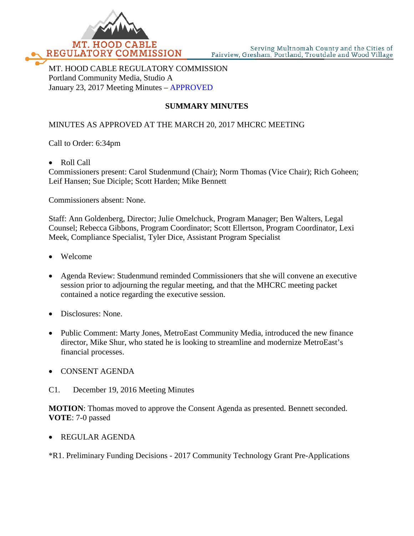

MT. HOOD CABLE REGULATORY COMMISSION Portland Community Media, Studio A January 23, 2017 Meeting Minutes – APPROVED

## **SUMMARY MINUTES**

## MINUTES AS APPROVED AT THE MARCH 20, 2017 MHCRC MEETING

Call to Order: 6:34pm

• Roll Call

Commissioners present: Carol Studenmund (Chair); Norm Thomas (Vice Chair); Rich Goheen; Leif Hansen; Sue Diciple; Scott Harden; Mike Bennett

Commissioners absent: None.

Staff: Ann Goldenberg, Director; Julie Omelchuck, Program Manager; Ben Walters, Legal Counsel; Rebecca Gibbons, Program Coordinator; Scott Ellertson, Program Coordinator, Lexi Meek, Compliance Specialist, Tyler Dice, Assistant Program Specialist

- Welcome
- Agenda Review: Studenmund reminded Commissioners that she will convene an executive session prior to adjourning the regular meeting, and that the MHCRC meeting packet contained a notice regarding the executive session.
- Disclosures: None.
- Public Comment: Marty Jones, MetroEast Community Media, introduced the new finance director, Mike Shur, who stated he is looking to streamline and modernize MetroEast's financial processes.
- CONSENT AGENDA
- C1. December 19, 2016 Meeting Minutes

**MOTION**: Thomas moved to approve the Consent Agenda as presented. Bennett seconded. **VOTE**: 7-0 passed

• REGULAR AGENDA

\*R1. Preliminary Funding Decisions - 2017 Community Technology Grant Pre-Applications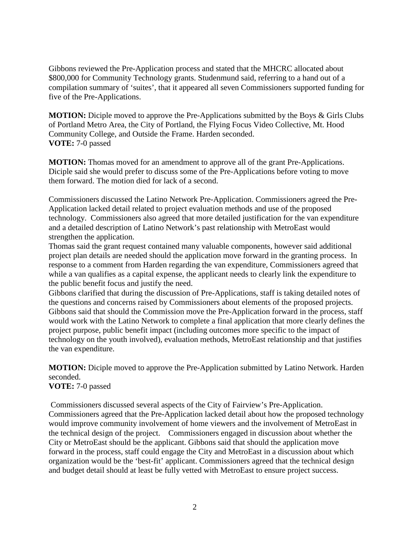Gibbons reviewed the Pre-Application process and stated that the MHCRC allocated about \$800,000 for Community Technology grants. Studenmund said, referring to a hand out of a compilation summary of 'suites', that it appeared all seven Commissioners supported funding for five of the Pre-Applications.

**MOTION:** Diciple moved to approve the Pre-Applications submitted by the Boys & Girls Clubs of Portland Metro Area, the City of Portland, the Flying Focus Video Collective, Mt. Hood Community College, and Outside the Frame. Harden seconded. **VOTE:** 7-0 passed

**MOTION:** Thomas moved for an amendment to approve all of the grant Pre-Applications. Diciple said she would prefer to discuss some of the Pre-Applications before voting to move them forward. The motion died for lack of a second.

Commissioners discussed the Latino Network Pre-Application. Commissioners agreed the Pre-Application lacked detail related to project evaluation methods and use of the proposed technology. Commissioners also agreed that more detailed justification for the van expenditure and a detailed description of Latino Network's past relationship with MetroEast would strengthen the application.

Thomas said the grant request contained many valuable components, however said additional project plan details are needed should the application move forward in the granting process. In response to a comment from Harden regarding the van expenditure, Commissioners agreed that while a van qualifies as a capital expense, the applicant needs to clearly link the expenditure to the public benefit focus and justify the need.

Gibbons clarified that during the discussion of Pre-Applications, staff is taking detailed notes of the questions and concerns raised by Commissioners about elements of the proposed projects. Gibbons said that should the Commission move the Pre-Application forward in the process, staff would work with the Latino Network to complete a final application that more clearly defines the project purpose, public benefit impact (including outcomes more specific to the impact of technology on the youth involved), evaluation methods, MetroEast relationship and that justifies the van expenditure.

**MOTION:** Diciple moved to approve the Pre-Application submitted by Latino Network. Harden seconded.

**VOTE:** 7-0 passed

Commissioners discussed several aspects of the City of Fairview's Pre-Application. Commissioners agreed that the Pre-Application lacked detail about how the proposed technology would improve community involvement of home viewers and the involvement of MetroEast in the technical design of the project. Commissioners engaged in discussion about whether the City or MetroEast should be the applicant. Gibbons said that should the application move forward in the process, staff could engage the City and MetroEast in a discussion about which organization would be the 'best-fit' applicant. Commissioners agreed that the technical design and budget detail should at least be fully vetted with MetroEast to ensure project success.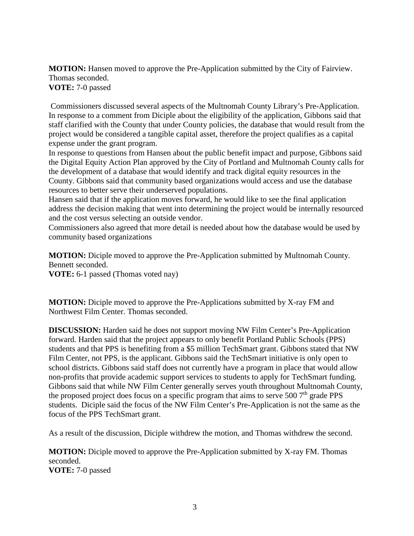**MOTION:** Hansen moved to approve the Pre-Application submitted by the City of Fairview. Thomas seconded. **VOTE:** 7-0 passed

Commissioners discussed several aspects of the Multnomah County Library's Pre-Application. In response to a comment from Diciple about the eligibility of the application, Gibbons said that staff clarified with the County that under County policies, the database that would result from the project would be considered a tangible capital asset, therefore the project qualifies as a capital expense under the grant program.

In response to questions from Hansen about the public benefit impact and purpose, Gibbons said the Digital Equity Action Plan approved by the City of Portland and Multnomah County calls for the development of a database that would identify and track digital equity resources in the County. Gibbons said that community based organizations would access and use the database resources to better serve their underserved populations.

Hansen said that if the application moves forward, he would like to see the final application address the decision making that went into determining the project would be internally resourced and the cost versus selecting an outside vendor.

Commissioners also agreed that more detail is needed about how the database would be used by community based organizations

**MOTION:** Diciple moved to approve the Pre-Application submitted by Multnomah County. Bennett seconded. **VOTE:** 6-1 passed (Thomas voted nay)

**MOTION:** Diciple moved to approve the Pre-Applications submitted by X-ray FM and Northwest Film Center. Thomas seconded.

**DISCUSSION:** Harden said he does not support moving NW Film Center's Pre-Application forward. Harden said that the project appears to only benefit Portland Public Schools (PPS) students and that PPS is benefiting from a \$5 million TechSmart grant. Gibbons stated that NW Film Center, not PPS, is the applicant. Gibbons said the TechSmart initiative is only open to school districts. Gibbons said staff does not currently have a program in place that would allow non-profits that provide academic support services to students to apply for TechSmart funding. Gibbons said that while NW Film Center generally serves youth throughout Multnomah County, the proposed project does focus on a specific program that aims to serve 500  $7<sup>th</sup>$  grade PPS students. Diciple said the focus of the NW Film Center's Pre-Application is not the same as the focus of the PPS TechSmart grant.

As a result of the discussion, Diciple withdrew the motion, and Thomas withdrew the second.

**MOTION:** Diciple moved to approve the Pre-Application submitted by X-ray FM. Thomas seconded. **VOTE:** 7-0 passed

3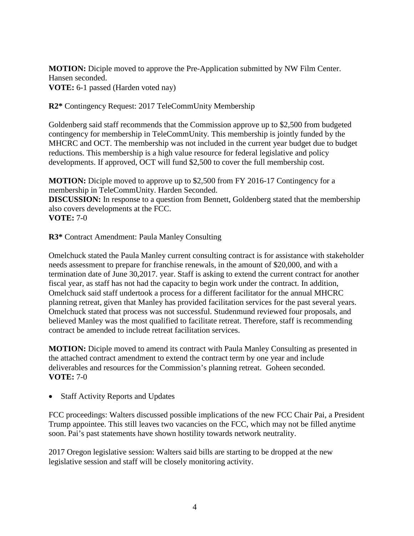**MOTION:** Diciple moved to approve the Pre-Application submitted by NW Film Center. Hansen seconded. **VOTE:** 6-1 passed (Harden voted nay)

**R2\*** Contingency Request: 2017 TeleCommUnity Membership

Goldenberg said staff recommends that the Commission approve up to \$2,500 from budgeted contingency for membership in TeleCommUnity. This membership is jointly funded by the MHCRC and OCT. The membership was not included in the current year budget due to budget reductions. This membership is a high value resource for federal legislative and policy developments. If approved, OCT will fund \$2,500 to cover the full membership cost.

**MOTION:** Diciple moved to approve up to \$2,500 from FY 2016-17 Contingency for a membership in TeleCommUnity. Harden Seconded. **DISCUSSION:** In response to a question from Bennett, Goldenberg stated that the membership also covers developments at the FCC. **VOTE:** 7-0

**R3\*** Contract Amendment: Paula Manley Consulting

Omelchuck stated the Paula Manley current consulting contract is for assistance with stakeholder needs assessment to prepare for franchise renewals, in the amount of \$20,000, and with a termination date of June 30,2017. year. Staff is asking to extend the current contract for another fiscal year, as staff has not had the capacity to begin work under the contract. In addition, Omelchuck said staff undertook a process for a different facilitator for the annual MHCRC planning retreat, given that Manley has provided facilitation services for the past several years. Omelchuck stated that process was not successful. Studenmund reviewed four proposals, and believed Manley was the most qualified to facilitate retreat. Therefore, staff is recommending contract be amended to include retreat facilitation services.

**MOTION:** Diciple moved to amend its contract with Paula Manley Consulting as presented in the attached contract amendment to extend the contract term by one year and include deliverables and resources for the Commission's planning retreat. Goheen seconded. **VOTE:** 7-0

• Staff Activity Reports and Updates

FCC proceedings: Walters discussed possible implications of the new FCC Chair Pai, a President Trump appointee. This still leaves two vacancies on the FCC, which may not be filled anytime soon. Pai's past statements have shown hostility towards network neutrality.

2017 Oregon legislative session: Walters said bills are starting to be dropped at the new legislative session and staff will be closely monitoring activity.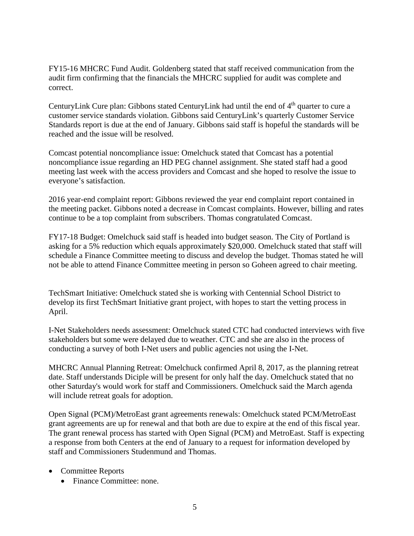FY15-16 MHCRC Fund Audit. Goldenberg stated that staff received communication from the audit firm confirming that the financials the MHCRC supplied for audit was complete and correct.

CenturyLink Cure plan: Gibbons stated CenturyLink had until the end of 4<sup>th</sup> quarter to cure a customer service standards violation. Gibbons said CenturyLink's quarterly Customer Service Standards report is due at the end of January. Gibbons said staff is hopeful the standards will be reached and the issue will be resolved.

Comcast potential noncompliance issue: Omelchuck stated that Comcast has a potential noncompliance issue regarding an HD PEG channel assignment. She stated staff had a good meeting last week with the access providers and Comcast and she hoped to resolve the issue to everyone's satisfaction.

2016 year-end complaint report: Gibbons reviewed the year end complaint report contained in the meeting packet. Gibbons noted a decrease in Comcast complaints. However, billing and rates continue to be a top complaint from subscribers. Thomas congratulated Comcast.

FY17-18 Budget: Omelchuck said staff is headed into budget season. The City of Portland is asking for a 5% reduction which equals approximately \$20,000. Omelchuck stated that staff will schedule a Finance Committee meeting to discuss and develop the budget. Thomas stated he will not be able to attend Finance Committee meeting in person so Goheen agreed to chair meeting.

TechSmart Initiative: Omelchuck stated she is working with Centennial School District to develop its first TechSmart Initiative grant project, with hopes to start the vetting process in April.

I-Net Stakeholders needs assessment: Omelchuck stated CTC had conducted interviews with five stakeholders but some were delayed due to weather. CTC and she are also in the process of conducting a survey of both I-Net users and public agencies not using the I-Net.

MHCRC Annual Planning Retreat: Omelchuck confirmed April 8, 2017, as the planning retreat date. Staff understands Diciple will be present for only half the day. Omelchuck stated that no other Saturday's would work for staff and Commissioners. Omelchuck said the March agenda will include retreat goals for adoption.

Open Signal (PCM)/MetroEast grant agreements renewals: Omelchuck stated PCM/MetroEast grant agreements are up for renewal and that both are due to expire at the end of this fiscal year. The grant renewal process has started with Open Signal (PCM) and MetroEast. Staff is expecting a response from both Centers at the end of January to a request for information developed by staff and Commissioners Studenmund and Thomas.

- Committee Reports
	- Finance Committee: none.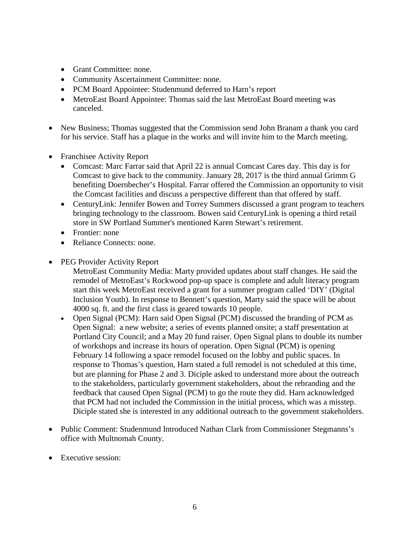- Grant Committee: none.
- Community Ascertainment Committee: none.
- PCM Board Appointee: Studenmund deferred to Harn's report
- MetroEast Board Appointee: Thomas said the last MetroEast Board meeting was canceled.
- New Business; Thomas suggested that the Commission send John Branam a thank you card for his service. Staff has a plaque in the works and will invite him to the March meeting.
- Franchisee Activity Report
	- Comcast: Marc Farrar said that April 22 is annual Comcast Cares day. This day is for Comcast to give back to the community. January 28, 2017 is the third annual Grimm G benefiting Doernbecher's Hospital. Farrar offered the Commission an opportunity to visit the Comcast facilities and discuss a perspective different than that offered by staff.
	- CenturyLink: Jennifer Bowen and Torrey Summers discussed a grant program to teachers bringing technology to the classroom. Bowen said CenturyLink is opening a third retail store in SW Portland Summer's mentioned Karen Stewart's retirement.
	- Frontier: none
	- Reliance Connects: none.
- PEG Provider Activity Report

MetroEast Community Media: Marty provided updates about staff changes. He said the remodel of MetroEast's Rockwood pop-up space is complete and adult literacy program start this week MetroEast received a grant for a summer program called 'DIY' (Digital Inclusion Youth). In response to Bennett's question, Marty said the space will be about 4000 sq. ft. and the first class is geared towards 10 people.

- Open Signal (PCM): Harn said Open Signal (PCM) discussed the branding of PCM as Open Signal: a new website; a series of events planned onsite; a staff presentation at Portland City Council; and a May 20 fund raiser. Open Signal plans to double its number of workshops and increase its hours of operation. Open Signal (PCM) is opening February 14 following a space remodel focused on the lobby and public spaces. In response to Thomas's question, Harn stated a full remodel is not scheduled at this time, but are planning for Phase 2 and 3. Diciple asked to understand more about the outreach to the stakeholders, particularly government stakeholders, about the rebranding and the feedback that caused Open Signal (PCM) to go the route they did. Harn acknowledged that PCM had not included the Commission in the initial process, which was a misstep. Diciple stated she is interested in any additional outreach to the government stakeholders.
- Public Comment: Studenmund Introduced Nathan Clark from Commissioner Stegmanns's office with Multnomah County.
- Executive session: